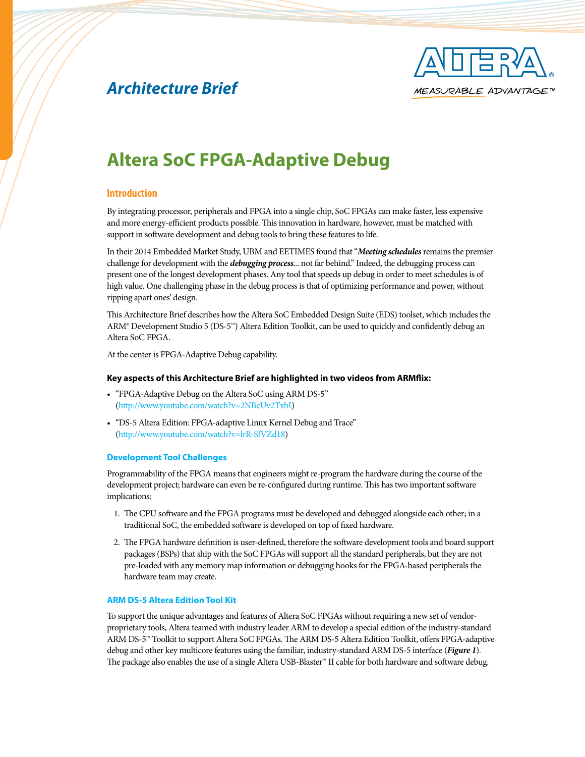

## *Architecture Brief*

# **Altera SoC FPGA-Adaptive Debug**

## **Introduction**

By integrating processor, peripherals and FPGA into a single chip, SoC FPGAs can make faster, less expensive and more energy-efficient products possible. This innovation in hardware, however, must be matched with support in software development and debug tools to bring these features to life.

In their 2014 Embedded Market Study, UBM and EETIMES found that "*Meeting schedules* remains the premier challenge for development with the *debugging process*... not far behind." Indeed, the debugging process can present one of the longest development phases. Any tool that speeds up debug in order to meet schedules is of high value. One challenging phase in the debug process is that of optimizing performance and power, without ripping apart ones' design.

This Architecture Brief describes how the Altera SoC Embedded Design Suite (EDS) toolset, which includes the ARM® Development Studio 5 (DS-5™) Altera Edition Toolkit, can be used to quickly and confidently debug an Altera SoC FPGA.

At the center is FPGA-Adaptive Debug capability.

### **Key aspects of this Architecture Brief are highlighted in two videos from ARMflix:**

- "FPGA-Adaptive Debug on the Altera SoC using ARM DS-5" [\(http://www.youtube.com/watch?v=2NBcUv2TxbI](http://www.youtube.com/watch?v=2NBcUv2TxbI))
- "DS-5 Altera Edition: FPGA-adaptive Linux Kernel Debug and Trace" [\(http://www.youtube.com/watch?v=lrR-SfVZd18](http://www.youtube.com/watch?v=lrR-SfVZd18))

### **Development Tool Challenges**

Programmability of the FPGA means that engineers might re-program the hardware during the course of the development project; hardware can even be re-configured during runtime. This has two important software implications:

- 1. The CPU software and the FPGA programs must be developed and debugged alongside each other; in a traditional SoC, the embedded software is developed on top of fixed hardware.
- 2. The FPGA hardware definition is user-defined, therefore the software development tools and board support packages (BSPs) that ship with the SoC FPGAs will support all the standard peripherals, but they are not pre-loaded with any memory map information or debugging hooks for the FPGA-based peripherals the hardware team may create.

### **ARM DS-5 Altera Edition Tool Kit**

To support the unique advantages and features of Altera SoC FPGAs without requiring a new set of vendorproprietary tools, Altera teamed with industry leader ARM to develop a special edition of the industry-standard ARM DS-5™ Toolkit to support Altera SoC FPGAs. The ARM DS-5 Altera Edition Toolkit, offers FPGA-adaptive debug and other key multicore features using the familiar, industry-standard ARM DS-5 interface (*Figure 1*). The package also enables the use of a single Altera USB-Blaster™ II cable for both hardware and software debug.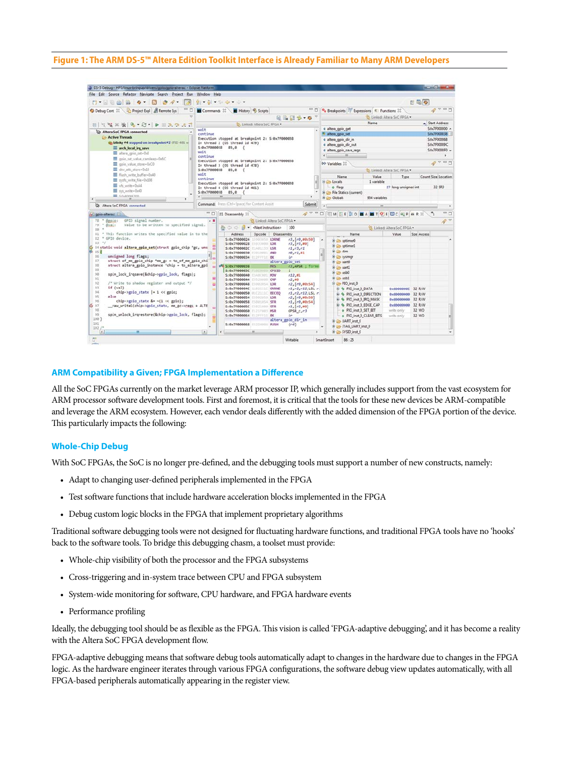#### **Figure 1: The ARM DS-5™ Altera Edition Toolkit Interface is Already Familiar to Many ARM Developers**

| CS-5 Debug - HPS/linux-bringup/drivers/gpio/gpio-altera.c - Eclipse Platform          |                                                                                                   |                                                         |                                           |                                                                                   |                                                                        |                                    |                              |                              |              | $x = x + 1$         |          |  |
|---------------------------------------------------------------------------------------|---------------------------------------------------------------------------------------------------|---------------------------------------------------------|-------------------------------------------|-----------------------------------------------------------------------------------|------------------------------------------------------------------------|------------------------------------|------------------------------|------------------------------|--------------|---------------------|----------|--|
| File Edit Source Refactor Navigate Search Project Run Window Help                     |                                                                                                   |                                                         |                                           |                                                                                   |                                                                        |                                    |                              |                              |              |                     |          |  |
| 门大家新西西                                                                                |                                                                                                   | 위 : 위 : 10: 수 · 수 ·                                     |                                           |                                                                                   |                                                                        |                                    |                              |                              | 日量令          |                     |          |  |
| - 0<br>Project Expl <b>E</b> Remote Sys<br>Debug Cont 22                              |                                                                                                   | $-7$<br>Commands 22<br>History & Scripts                |                                           |                                                                                   | <sup>0</sup> e Breakpoints <sup>259</sup> Expressions R.) Functions 22 |                                    |                              |                              |              | 2700                |          |  |
|                                                                                       |                                                                                                   | <b>BB56-07</b>                                          |                                           |                                                                                   |                                                                        | B. Linked: Altera SeC FPGA .       |                              |                              |              |                     |          |  |
| 日 ママス後 ターピートロスラスざ                                                                     |                                                                                                   | 5. Linked: Altera SoC FPGA .                            |                                           |                                                                                   | Name                                                                   |                                    |                              |                              |              | Start Address       |          |  |
| <b>ER Altera SoC FPGA connected</b>                                                   | wait                                                                                              |                                                         |                                           | o altera gpio get<br>altera gpio set                                              |                                                                        |                                    |                              |                              | S:0x7F000000 |                     |          |  |
| Active Threads                                                                        | continue<br>Execution stopped at breakpoint 2: S:0x7F000038                                       |                                                         |                                           |                                                                                   |                                                                        | 5:0x7F000038<br>S:0x7F000068       |                              |                              |              |                     |          |  |
| the blinky #4 stopped on breakpoint #2 (PID 481 w)                                    | In thread 2 (05 thread id 479)                                                                    |                                                         |                                           | o altera gpio dir in<br>o altera gpio dir out<br>o altera gpio save regs<br>$m$ . |                                                                        |                                    |                              |                              | S:0x7F00009C |                     |          |  |
| arch local irq save                                                                   | S:0x7F000038 85,0 {<br>wait                                                                       |                                                         |                                           |                                                                                   |                                                                        |                                    |                              |                              |              | S:0x7F0000F0        |          |  |
| altera_gpio_set=0x8<br>gpin_set_value_cambeep+0x6C                                    | continue                                                                                          |                                                         |                                           |                                                                                   |                                                                        |                                    |                              |                              |              |                     |          |  |
| gpio value store+0xC0                                                                 | Execution stopped at breakpoint 2: S:0x7F000038<br>In thread 3 (OS thread id 478)                 |                                                         |                                           | 00- Variables 22                                                                  |                                                                        |                                    | $Q$ v = $\Box$               |                              |              |                     |          |  |
| dev_attr_store=0x18                                                                   | S:0x7F000038 85.0 {                                                                               |                                                         |                                           |                                                                                   |                                                                        |                                    | D. Linked: Altera SoC FPGA . |                              |              |                     |          |  |
| E flush write buffer+0x40                                                             | wait<br>continue                                                                                  |                                                         |                                           |                                                                                   |                                                                        | Name                               | Value                        | Type                         |              | Count Size Location |          |  |
| syds write file-0x108                                                                 |                                                                                                   | Execution stopped at breakpoint 2: 5:0x7F000038         |                                           |                                                                                   | <b>E &amp; Locals</b>                                                  |                                    | 1 variable                   |                              |              |                     |          |  |
| Vfs write+0xA4<br>sys_write+0x40                                                      |                                                                                                   | In thread 4 (OS thread id 481)                          |                                           |                                                                                   |                                                                        | $ \omega$ flags                    |                              | 27 long unsigned int         |              |                     | 32 SR3   |  |
| $=$ so-announn                                                                        |                                                                                                   | S:0x7F000038 85,0<br>m                                  |                                           |                                                                                   | <b>E De Globals</b>                                                    | <b>B De File Statics (current)</b> | 954 variables                |                              |              |                     |          |  |
| $\ddot{\phantom{1}}$                                                                  |                                                                                                   | Command: Press (Ctrl+Space) for Content Assist          | Submit                                    |                                                                                   |                                                                        |                                    |                              |                              |              |                     |          |  |
| R Altera SoC FPGA connected                                                           |                                                                                                   |                                                         |                                           |                                                                                   |                                                                        |                                    | m                            |                              |              |                     |          |  |
| pc gpio-altera.c 23                                                                   | $=$ $\Box$                                                                                        | III Disassembly 33                                      | $R =$                                     | n                                                                                 |                                                                        | <b>TMEE COMANT OF DCCPHRX</b>      |                              |                              |              |                     | - 0      |  |
| GPIO signal number.<br>78 * Sepio:                                                    | A                                                                                                 | B. Linked: Altera SoC FPGA .                            |                                           |                                                                                   |                                                                        |                                    |                              |                              |              |                     | $\theta$ |  |
| Value to be written to specified signal.<br>79 * @val:<br>no.                         |                                                                                                   | 格心の目<br>· <next instruction=""></next>                  | 100                                       |                                                                                   |                                                                        |                                    |                              | 3. Linked: Altera SoC FPGA . |              |                     |          |  |
| 81 * This function writes the specified value in to the                               |                                                                                                   | Address<br>Opcode<br>Disassembly                        |                                           |                                                                                   |                                                                        | Name                               |                              | Value                        | Size Access  |                     |          |  |
| 82 * GPIO device.<br>$85 - 1$                                                         |                                                                                                   | S: 0x7F000024<br>15503050 LDRNE                         | $r3, [r0, \text{m}0x50]$                  |                                                                                   |                                                                        | <b>E La sotimed</b>                |                              |                              |              |                     |          |  |
| #4 static void altera gpio set(struct gpio chip "gc, uns<br>ю                         |                                                                                                   | S:0x7F000028 E5933000 LDR<br>\$:8x7F00002C E1A01133 LSR | $r3, [r3, *8]$<br>r1, r3, r1              |                                                                                   |                                                                        | <b>B</b> sptimer1                  |                              |                              |              |                     |          |  |
| 85 ₹                                                                                  |                                                                                                   | S: 0x7F000030 F2010001 AND                              | $r\theta, r1, z1$                         |                                                                                   | B @ stm                                                                |                                    |                              |                              |              |                     |          |  |
| unsigned long flags;<br>16<br>57<br>struct of mm gpio chip "mm gc = to of mm gpio chi | lm                                                                                                | S:0x7F000034 E17FFF1E BX                                | ır                                        |                                                                                   |                                                                        | e pysmgr                           |                              |                              |              |                     |          |  |
| 88<br>struct altera gpio instance "chip - to altera gpi                               | ۰ı                                                                                                | offi S: 8x7F000038<br><b>MRS</b>                        | altera goio set<br>r3,APSR : forme        |                                                                                   |                                                                        | Ghea wart0                         |                              |                              |              |                     |          |  |
| 39                                                                                    |                                                                                                   | $S: 0 \times 7 F00003C$<br>CPSID                        | $\pm$                                     |                                                                                   |                                                                        | <b>E G uart1</b>                   |                              |                              |              |                     |          |  |
| 90<br>spin lock ingsave(&chip->gpio lock, flags);                                     |                                                                                                   | S: 8x7F000040<br><b>BYW</b><br>FILOCOOL                 | r12,01                                    |                                                                                   |                                                                        | ill ill- usb0                      |                              |                              |              |                     |          |  |
| 91                                                                                    | 日                                                                                                 | S:0x7F000044 E1530000<br>CNP                            | r2,50                                     |                                                                                   |                                                                        | ill (2) usb1                       |                              |                              |              |                     |          |  |
| 12<br>/* Write to shadow reglister and output "/<br>93<br>if (val)                    | Θ                                                                                                 | 5:0x7F000048<br>LDR                                     | $r2, [r0, \text{m}0x54]$                  |                                                                                   |                                                                        | B & PIO inst 0                     |                              |                              |              |                     |          |  |
| 94<br>chip->gpio state  = 1 << gpio;                                                  | S:0x7F00004C 11821110<br><b>CIRRME</b><br>S:8x7F000050 01C21110<br><b>BICEO</b>                   | r1, r2, r12, L5L                                        |                                           | + + PIO inst 0 DATA                                                               |                                                                        |                                    | 30000000x6                   | 32 R/W                       |              |                     |          |  |
| 95<br>else                                                                            |                                                                                                   | S: 8x7F000054<br>E5902050 LDR                           | $r1, r2, r12, L5L$ $r$<br>r2, [r0, m0x50] |                                                                                   | # & PIO inst 0 DIRECTION                                               |                                    |                              | 8x80000000                   | 32 R/W       |                     |          |  |
| 96<br>chip->gpio state &= ~(1 << gpio);                                               | S: 0x7F000058 ESSPIOS4 STR                                                                        | r1, [r0, 80x54]                                         |                                           |                                                                                   | + + PIO inst 0 IRQ MASK                                                |                                    | 8x93899999 32 R/W            |                              |              |                     |          |  |
| 5 07<br>raw writel(chip->gpic_state, mm_gc->regs + ALTE                               | 5:8x7F00005C<br>E5821000 STR                                                                      | r1, [r2, #0]                                            |                                           |                                                                                   | + 6 PIO inst 0 EDGE CAP                                                |                                    | esessesses                   | 32 R/W                       |              |                     |          |  |
| 98<br>99<br>spin unlock irgrestore(&chip->gpio lock, flags);                          | S: 0x7F000060 F121F001<br><b>NKR</b>                                                              | CPSR c.r3                                               |                                           |                                                                                   | e PIO inst 0 SET EIT                                                   |                                    | write only                   | 32 WO                        |              |                     |          |  |
| 100 }                                                                                 | S:8x7F800064<br>#12FFF15<br>BX.<br>tr<br>altera gpio dir in<br>S:0x7F000065 ES2D4004 PUSH<br>(r4) |                                                         |                                           | o PIO inst 0 CLEAR BITS<br><b>E</b> Co UART inst 0<br><b>ED</b> JTAG UART inst 0  |                                                                        |                                    | write only                   | 32 WO                        |              |                     |          |  |
| 101                                                                                   |                                                                                                   |                                                         |                                           |                                                                                   |                                                                        |                                    |                              |                              |              |                     |          |  |
| $102/$ *                                                                              |                                                                                                   |                                                         |                                           |                                                                                   |                                                                        |                                    |                              |                              |              |                     |          |  |
| $\overline{A}$                                                                        | $\left\vert x\right\rangle$                                                                       | m                                                       |                                           |                                                                                   |                                                                        | SYSID_inst_0                       |                              |                              |              |                     |          |  |
| ۵ř.                                                                                   |                                                                                                   |                                                         | Writable                                  |                                                                                   | <b>Smart Insert</b>                                                    | 86:25                              |                              |                              |              |                     |          |  |

#### **ARM Compatibility a Given; FPGA Implementation a Difference**

All the SoC FPGAs currently on the market leverage ARM processor IP, which generally includes support from the vast ecosystem for ARM processor software development tools. First and foremost, it is critical that the tools for these new devices be ARM-compatible and leverage the ARM ecosystem. However, each vendor deals differently with the added dimension of the FPGA portion of the device. This particularly impacts the following:

#### **Whole-Chip Debug**

With SoC FPGAs, the SoC is no longer pre-defined, and the debugging tools must support a number of new constructs, namely:

- • Adapt to changing user-defined peripherals implemented in the FPGA
- • Test software functions that include hardware acceleration blocks implemented in the FPGA
- Debug custom logic blocks in the FPGA that implement proprietary algorithms

Traditional software debugging tools were not designed for fluctuating hardware functions, and traditional FPGA tools have no 'hooks' back to the software tools. To bridge this debugging chasm, a toolset must provide:

- Whole-chip visibility of both the processor and the FPGA subsystems
- • Cross-triggering and in-system trace between CPU and FPGA subsystem
- System-wide monitoring for software, CPU hardware, and FPGA hardware events
- Performance profiling

Ideally, the debugging tool should be as flexible as the FPGA. This vision is called 'FPGA-adaptive debugging', and it has become a reality with the Altera SoC FPGA development flow.

FPGA-adaptive debugging means that software debug tools automatically adapt to changes in the hardware due to changes in the FPGA logic. As the hardware engineer iterates through various FPGA configurations, the software debug view updates automatically, with all FPGA-based peripherals automatically appearing in the register view.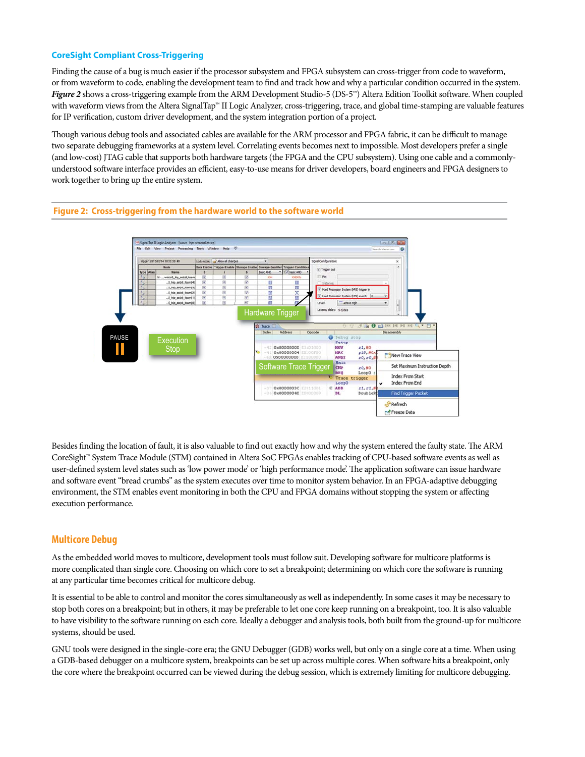## **CoreSight Compliant Cross-Triggering**

Finding the cause of a bug is much easier if the processor subsystem and FPGA subsystem can cross-trigger from code to waveform, or from waveform to code, enabling the development team to find and track how and why a particular condition occurred in the system. *Figure 2* shows a cross-triggering example from the ARM Development Studio-5 (DS-5<sup>™</sup>) Altera Edition Toolkit software. When coupled with waveform views from the Altera SignalTap™ II Logic Analyzer, cross-triggering, trace, and global time-stamping are valuable features for IP verification, custom driver development, and the system integration portion of a project.

Though various debug tools and associated cables are available for the ARM processor and FPGA fabric, it can be difficult to manage two separate debugging frameworks at a system level. Correlating events becomes next to impossible. Most developers prefer a single (and low-cost) JTAG cable that supports both hardware targets (the FPGA and the CPU subsystem). Using one cable and a commonlyunderstood software interface provides an efficient, easy-to-use means for driver developers, board engineers and FPGA designers to work together to bring up the entire system.



Besides finding the location of fault, it is also valuable to find out exactly how and why the system entered the faulty state. The ARM CoreSight™ System Trace Module (STM) contained in Altera SoC FPGAs enables tracking of CPU-based software events as well as user-defined system level states such as 'low power mode' or 'high performance mode'. The application software can issue hardware and software event "bread crumbs" as the system executes over time to monitor system behavior. In an FPGA-adaptive debugging environment, the STM enables event monitoring in both the CPU and FPGA domains without stopping the system or affecting execution performance.

## **Multicore Debug**

As the embedded world moves to multicore, development tools must follow suit. Developing software for multicore platforms is more complicated than single core. Choosing on which core to set a breakpoint; determining on which core the software is running at any particular time becomes critical for multicore debug.

It is essential to be able to control and monitor the cores simultaneously as well as independently. In some cases it may be necessary to stop both cores on a breakpoint; but in others, it may be preferable to let one core keep running on a breakpoint, too. It is also valuable to have visibility to the software running on each core. Ideally a debugger and analysis tools, both built from the ground-up for multicore systems, should be used.

GNU tools were designed in the single-core era; the GNU Debugger (GDB) works well, but only on a single core at a time. When using a GDB-based debugger on a multicore system, breakpoints can be set up across multiple cores. When software hits a breakpoint, only the core where the breakpoint occurred can be viewed during the debug session, which is extremely limiting for multicore debugging.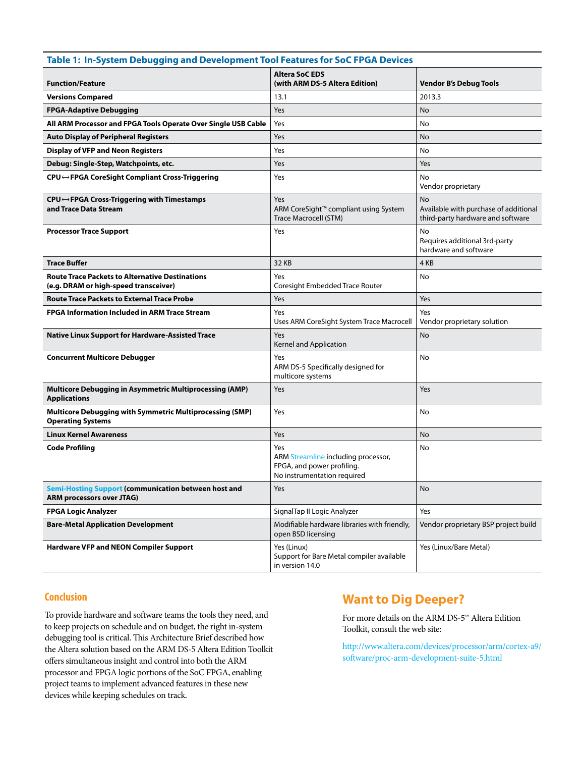| Table 1: In-System Debugging and Development Tool Features for SoC FPGA Devices                 |                                                                                                         |                                                                                         |  |  |  |  |  |  |  |
|-------------------------------------------------------------------------------------------------|---------------------------------------------------------------------------------------------------------|-----------------------------------------------------------------------------------------|--|--|--|--|--|--|--|
| <b>Function/Feature</b>                                                                         | <b>Altera SoC EDS</b><br>(with ARM DS-5 Altera Edition)                                                 | <b>Vendor B's Debug Tools</b>                                                           |  |  |  |  |  |  |  |
| <b>Versions Compared</b>                                                                        | 13.1                                                                                                    | 2013.3                                                                                  |  |  |  |  |  |  |  |
| <b>FPGA-Adaptive Debugging</b>                                                                  | Yes                                                                                                     | <b>No</b>                                                                               |  |  |  |  |  |  |  |
| All ARM Processor and FPGA Tools Operate Over Single USB Cable                                  | Yes                                                                                                     | No                                                                                      |  |  |  |  |  |  |  |
| <b>Auto Display of Peripheral Registers</b>                                                     | Yes                                                                                                     | No                                                                                      |  |  |  |  |  |  |  |
| <b>Display of VFP and Neon Registers</b>                                                        | Yes                                                                                                     | No                                                                                      |  |  |  |  |  |  |  |
| Debug: Single-Step, Watchpoints, etc.                                                           | Yes                                                                                                     | Yes                                                                                     |  |  |  |  |  |  |  |
| CPU⇔FPGA CoreSight Compliant Cross-Triggering                                                   | Yes                                                                                                     | No<br>Vendor proprietary                                                                |  |  |  |  |  |  |  |
| CPU←FPGA Cross-Triggering with Timestamps<br>and Trace Data Stream                              | Yes<br>ARM CoreSight™ compliant using System<br><b>Trace Macrocell (STM)</b>                            | <b>No</b><br>Available with purchase of additional<br>third-party hardware and software |  |  |  |  |  |  |  |
| <b>Processor Trace Support</b>                                                                  | Yes                                                                                                     | No<br>Requires additional 3rd-party<br>hardware and software                            |  |  |  |  |  |  |  |
| <b>Trace Buffer</b>                                                                             | 32 KB                                                                                                   | 4 KB                                                                                    |  |  |  |  |  |  |  |
| <b>Route Trace Packets to Alternative Destinations</b><br>(e.g. DRAM or high-speed transceiver) | Yes<br>Coresight Embedded Trace Router                                                                  | No                                                                                      |  |  |  |  |  |  |  |
| <b>Route Trace Packets to External Trace Probe</b>                                              | Yes                                                                                                     | Yes                                                                                     |  |  |  |  |  |  |  |
| <b>FPGA Information Included in ARM Trace Stream</b>                                            | Yes<br>Uses ARM CoreSight System Trace Macrocell                                                        | Yes<br>Vendor proprietary solution                                                      |  |  |  |  |  |  |  |
| <b>Native Linux Support for Hardware-Assisted Trace</b>                                         | Yes<br>Kernel and Application                                                                           | No                                                                                      |  |  |  |  |  |  |  |
| <b>Concurrent Multicore Debugger</b>                                                            | Yes<br>ARM DS-5 Specifically designed for<br>multicore systems                                          | No                                                                                      |  |  |  |  |  |  |  |
| <b>Multicore Debugging in Asymmetric Multiprocessing (AMP)</b><br><b>Applications</b>           | Yes                                                                                                     | Yes                                                                                     |  |  |  |  |  |  |  |
| <b>Multicore Debugging with Symmetric Multiprocessing (SMP)</b><br><b>Operating Systems</b>     | Yes                                                                                                     | No                                                                                      |  |  |  |  |  |  |  |
| <b>Linux Kernel Awareness</b>                                                                   | Yes                                                                                                     | <b>No</b>                                                                               |  |  |  |  |  |  |  |
| <b>Code Profiling</b>                                                                           | Yes<br>ARM Streamline including processor,<br>FPGA, and power profiling.<br>No instrumentation required | No                                                                                      |  |  |  |  |  |  |  |
| <b>Semi-Hosting Support (communication between host and</b><br><b>ARM processors over JTAG)</b> | Yes                                                                                                     | No                                                                                      |  |  |  |  |  |  |  |
| <b>FPGA Logic Analyzer</b>                                                                      | SignalTap II Logic Analyzer                                                                             | Yes                                                                                     |  |  |  |  |  |  |  |
| <b>Bare-Metal Application Development</b>                                                       | Modifiable hardware libraries with friendly,<br>open BSD licensing                                      | Vendor proprietary BSP project build                                                    |  |  |  |  |  |  |  |
| <b>Hardware VFP and NEON Compiler Support</b>                                                   | Yes (Linux)<br>Support for Bare Metal compiler available<br>in version 14.0                             | Yes (Linux/Bare Metal)                                                                  |  |  |  |  |  |  |  |

## **Conclusion**

To provide hardware and software teams the tools they need, and to keep projects on schedule and on budget, the right in-system debugging tool is critical. This Architecture Brief described how the Altera solution based on the ARM DS-5 Altera Edition Toolkit offers simultaneous insight and control into both the ARM processor and FPGA logic portions of the SoC FPGA, enabling project teams to implement advanced features in these new devices while keeping schedules on track.

## **Want to Dig Deeper?**

For more details on the ARM DS-5™ Altera Edition Toolkit, consult the web site:

[http://www.altera.com/devices/processor/arm/cortex-a9/](http://www.altera.com/devices/processor/arm/cortex-a9/software/proc-arm-development-suite-5.html) [software/proc-arm-development-suite-5.html](http://www.altera.com/devices/processor/arm/cortex-a9/software/proc-arm-development-suite-5.html)